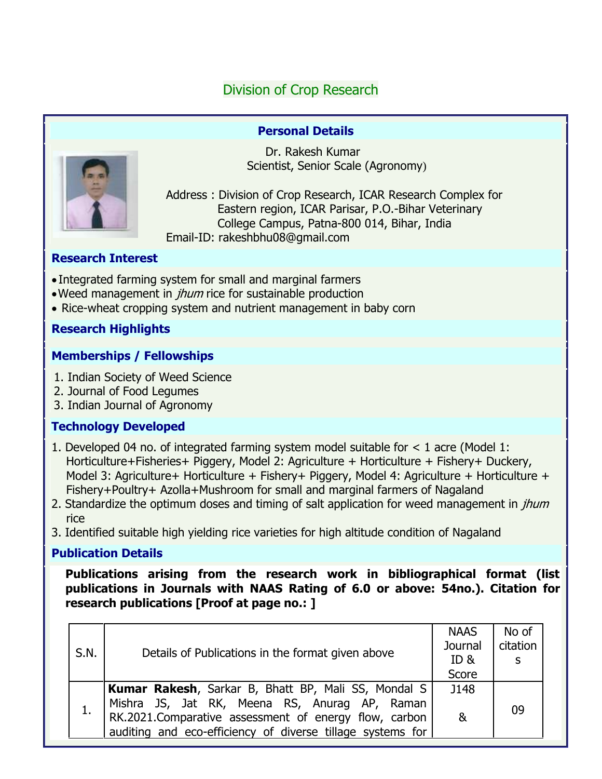# Division of Crop Research

#### **Personal Details**



 Dr. Rakesh Kumar Scientist, Senior Scale (Agronomy)

Address : Division of Crop Research, ICAR Research Complex for Eastern region, ICAR Parisar, P.O.-Bihar Veterinary College Campus, Patna-800 014, Bihar, India Email-ID: rakeshbhu08@gmail.com

#### **Research Interest**

- Integrated farming system for small and marginal farmers
- . Weed management in *jhum* rice for sustainable production
- Rice-wheat cropping system and nutrient management in baby corn

## **Research Highlights**

## **Memberships / Fellowships**

- 1. Indian Society of Weed Science
- 2. Journal of Food Legumes
- 3. Indian Journal of Agronomy

# **Technology Developed**

- 1. Developed 04 no. of integrated farming system model suitable for < 1 acre (Model 1: Horticulture+Fisheries+ Piggery, Model 2: Agriculture + Horticulture + Fishery+ Duckery, Model 3: Agriculture+ Horticulture + Fishery+ Piggery, Model 4: Agriculture + Horticulture + Fishery+Poultry+ Azolla+Mushroom for small and marginal farmers of Nagaland
- 2. Standardize the optimum doses and timing of salt application for weed management in *jhum* rice
- 3. Identified suitable high yielding rice varieties for high altitude condition of Nagaland

## **Publication Details**

**Publications arising from the research work in bibliographical format (list publications in Journals with NAAS Rating of 6.0 or above: 54no.). Citation for research publications [Proof at page no.: ]**

| S.N. | Details of Publications in the format given above                                                                                                                                                                                  | <b>NAAS</b><br>Journal<br>ID &<br>Score | No of<br>citation<br>S |
|------|------------------------------------------------------------------------------------------------------------------------------------------------------------------------------------------------------------------------------------|-----------------------------------------|------------------------|
| 1.   | <b>Kumar Rakesh, Sarkar B, Bhatt BP, Mali SS, Mondal S</b><br>Mishra JS, Jat RK, Meena RS, Anurag AP, Raman<br>RK.2021.Comparative assessment of energy flow, carbon<br>auditing and eco-efficiency of diverse tillage systems for | J148<br>&                               | 09                     |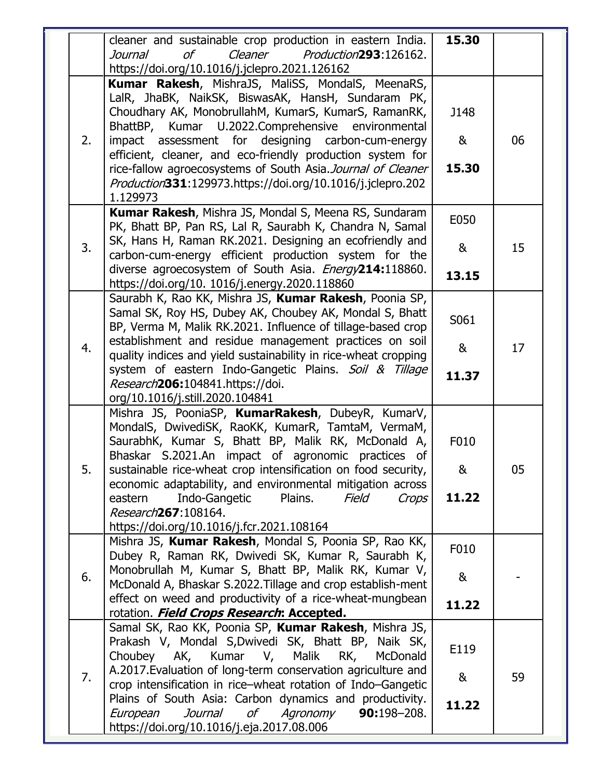|    | cleaner and sustainable crop production in eastern India.<br>Cleaner<br>Production293:126162.<br>Journal<br>οf<br>https://doi.org/10.1016/j.jclepro.2021.126162                                                                                                                                                                                                                                                                                                                   | 15.30              |    |
|----|-----------------------------------------------------------------------------------------------------------------------------------------------------------------------------------------------------------------------------------------------------------------------------------------------------------------------------------------------------------------------------------------------------------------------------------------------------------------------------------|--------------------|----|
| 2. | Kumar Rakesh, MishraJS, MaliSS, MondalS, MeenaRS,<br>LalR, JhaBK, NaikSK, BiswasAK, HansH, Sundaram PK,<br>Choudhary AK, MonobrullahM, KumarS, KumarS, RamanRK,<br>BhattBP, Kumar U.2022.Comprehensive environmental<br>impact assessment for designing carbon-cum-energy<br>efficient, cleaner, and eco-friendly production system for<br>rice-fallow agroecosystems of South Asia. Journal of Cleaner<br>Production331:129973.https://doi.org/10.1016/j.jclepro.202<br>1.129973 | J148<br>&<br>15.30 | 06 |
| 3. | Kumar Rakesh, Mishra JS, Mondal S, Meena RS, Sundaram<br>PK, Bhatt BP, Pan RS, Lal R, Saurabh K, Chandra N, Samal<br>SK, Hans H, Raman RK.2021. Designing an ecofriendly and<br>carbon-cum-energy efficient production system for the<br>diverse agroecosystem of South Asia. Energy214:118860.<br>https://doi.org/10. 1016/j.energy.2020.118860                                                                                                                                  | E050<br>&<br>13.15 | 15 |
| 4. | Saurabh K, Rao KK, Mishra JS, Kumar Rakesh, Poonia SP,<br>Samal SK, Roy HS, Dubey AK, Choubey AK, Mondal S, Bhatt<br>BP, Verma M, Malik RK.2021. Influence of tillage-based crop<br>establishment and residue management practices on soil<br>quality indices and yield sustainability in rice-wheat cropping<br>system of eastern Indo-Gangetic Plains. Soil & Tillage<br>Research206:104841.https://doi.<br>org/10.1016/j.still.2020.104841                                     | S061<br>&<br>11.37 | 17 |
| 5. | Mishra JS, PooniaSP, KumarRakesh, DubeyR, KumarV,<br>MondalS, DwivediSK, RaoKK, KumarR, TamtaM, VermaM,<br>SaurabhK, Kumar S, Bhatt BP, Malik RK, McDonald A,<br>Bhaskar S.2021.An impact of agronomic practices of<br>sustainable rice-wheat crop intensification on food security,<br>economic adaptability, and environmental mitigation across<br>Plains.<br>Indo-Gangetic<br>Field<br>Crops<br>eastern<br>Research267:108164.<br>https://doi.org/10.1016/j.fcr.2021.108164   | F010<br>&<br>11.22 | 05 |
| 6. | Mishra JS, Kumar Rakesh, Mondal S, Poonia SP, Rao KK,<br>Dubey R, Raman RK, Dwivedi SK, Kumar R, Saurabh K,<br>Monobrullah M, Kumar S, Bhatt BP, Malik RK, Kumar V,<br>McDonald A, Bhaskar S.2022. Tillage and crop establish-ment<br>effect on weed and productivity of a rice-wheat-mungbean<br>rotation. Field Crops Research: Accepted.                                                                                                                                       | F010<br>&<br>11.22 |    |
| 7. | Samal SK, Rao KK, Poonia SP, Kumar Rakesh, Mishra JS,<br>Prakash V, Mondal S, Dwivedi SK, Bhatt BP, Naik SK,<br>Kumar V, Malik RK,<br>Choubey<br>AK,<br>McDonald<br>A.2017. Evaluation of long-term conservation agriculture and<br>crop intensification in rice-wheat rotation of Indo-Gangetic<br>Plains of South Asia: Carbon dynamics and productivity.<br>Journal<br>0f<br>Agronomy<br>European<br>90:198-208.<br>https://doi.org/10.1016/j.eja.2017.08.006                  | E119<br>&<br>11.22 | 59 |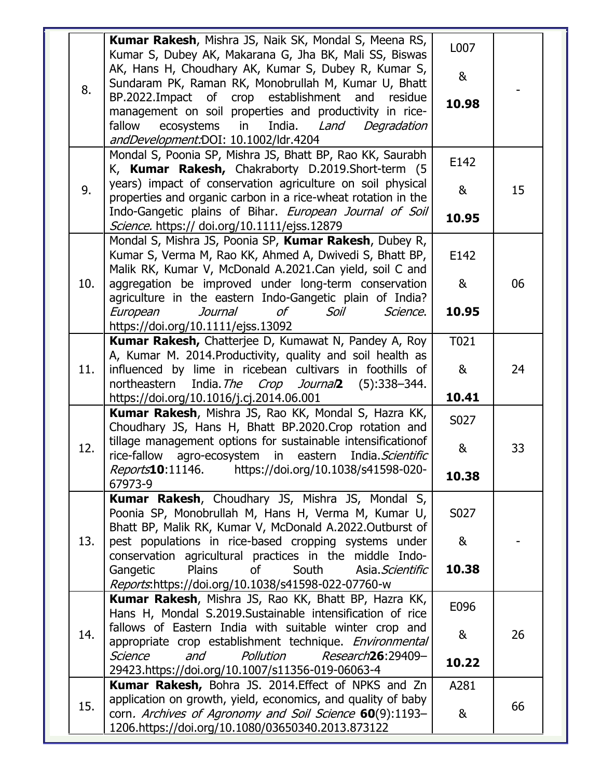|     | Kumar Rakesh, Mishra JS, Naik SK, Mondal S, Meena RS,<br>Kumar S, Dubey AK, Makarana G, Jha BK, Mali SS, Biswas                                                                | L007           |    |
|-----|--------------------------------------------------------------------------------------------------------------------------------------------------------------------------------|----------------|----|
| 8.  | AK, Hans H, Choudhary AK, Kumar S, Dubey R, Kumar S,<br>Sundaram PK, Raman RK, Monobrullah M, Kumar U, Bhatt                                                                   | 8 <sub>k</sub> |    |
|     | BP.2022.Impact of crop establishment and<br>residue<br>management on soil properties and productivity in rice-                                                                 | 10.98          |    |
|     | fallow<br>ecosystems<br>in<br>India.<br>Land<br>Degradation<br>andDevelopment:DOI: 10.1002/ldr.4204                                                                            |                |    |
|     | Mondal S, Poonia SP, Mishra JS, Bhatt BP, Rao KK, Saurabh<br>K, Kumar Rakesh, Chakraborty D.2019.Short-term (5                                                                 | E142           |    |
| 9.  | years) impact of conservation agriculture on soil physical<br>properties and organic carbon in a rice-wheat rotation in the                                                    | &              | 15 |
|     | Indo-Gangetic plains of Bihar. European Journal of Soil<br>Science. https:// doi.org/10.1111/ejss.12879                                                                        | 10.95          |    |
|     | Mondal S, Mishra JS, Poonia SP, Kumar Rakesh, Dubey R,<br>Kumar S, Verma M, Rao KK, Ahmed A, Dwivedi S, Bhatt BP,<br>Malik RK, Kumar V, McDonald A.2021.Can yield, soil C and  | E142           |    |
| 10. | aggregation be improved under long-term conservation<br>agriculture in the eastern Indo-Gangetic plain of India?                                                               | &              | 06 |
|     | Journal<br>οf<br>Science.<br>European<br>Soil<br>https://doi.org/10.1111/ejss.13092                                                                                            | 10.95          |    |
|     | Kumar Rakesh, Chatterjee D, Kumawat N, Pandey A, Roy<br>A, Kumar M. 2014. Productivity, quality and soil health as                                                             | T021           |    |
| 11. | influenced by lime in ricebean cultivars in foothills of<br>India. The Crop Journal (5):338-344.<br>northeastern                                                               | &              | 24 |
|     | https://doi.org/10.1016/j.cj.2014.06.001                                                                                                                                       | 10.41          |    |
|     | Kumar Rakesh, Mishra JS, Rao KK, Mondal S, Hazra KK,<br>Choudhary JS, Hans H, Bhatt BP.2020.Crop rotation and                                                                  | S027           |    |
| 12. | tillage management options for sustainable intensificationof<br>in eastern<br>rice-fallow<br>agro-ecosystem<br>India. Scientific                                               | &              | 33 |
|     | Reports10:11146. https://doi.org/10.1038/s41598-020-<br>67973-9                                                                                                                | 10.38          |    |
|     | Kumar Rakesh, Choudhary JS, Mishra JS, Mondal S,<br>Poonia SP, Monobrullah M, Hans H, Verma M, Kumar U,<br>Bhatt BP, Malik RK, Kumar V, McDonald A.2022.Outburst of            | S027           |    |
| 13. | pest populations in rice-based cropping systems under<br>conservation agricultural practices in the middle Indo-                                                               | &              |    |
|     |                                                                                                                                                                                |                |    |
|     | Plains<br>Gangetic<br>of<br>South<br>Asia, Scientific                                                                                                                          | 10.38          |    |
|     | Reports.https://doi.org/10.1038/s41598-022-07760-w<br>Kumar Rakesh, Mishra JS, Rao KK, Bhatt BP, Hazra KK,                                                                     | E096           |    |
| 14. | Hans H, Mondal S.2019.Sustainable intensification of rice<br>fallows of Eastern India with suitable winter crop and<br>appropriate crop establishment technique. Environmental | &              | 26 |
|     | Pollution<br>Science<br>and<br>Research26:29409-<br>29423.https://doi.org/10.1007/s11356-019-06063-4                                                                           | 10.22          |    |
|     | Kumar Rakesh, Bohra JS. 2014. Effect of NPKS and Zn<br>application on growth, yield, economics, and quality of baby                                                            | A281           |    |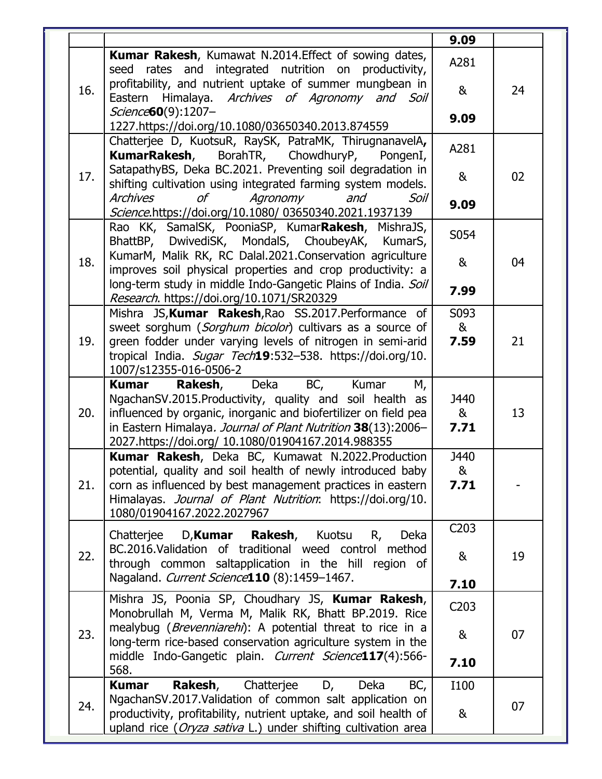|     |                                                                                                                                                                                       | 9.09              |    |
|-----|---------------------------------------------------------------------------------------------------------------------------------------------------------------------------------------|-------------------|----|
|     | Kumar Rakesh, Kumawat N.2014. Effect of sowing dates,<br>seed rates and integrated nutrition on productivity,                                                                         | A281              |    |
| 16. | profitability, and nutrient uptake of summer mungbean in<br>Eastern Himalaya. Archives of Agronomy and Soil                                                                           | &                 | 24 |
|     | Science <b>60</b> (9):1207-<br>1227.https://doi.org/10.1080/03650340.2013.874559                                                                                                      | 9.09              |    |
|     | Chatterjee D, KuotsuR, RaySK, PatraMK, ThirugnanavelA,<br>KumarRakesh,<br>BorahTR, ChowdhuryP,<br>PongenI,                                                                            | A281              |    |
| 17. | SatapathyBS, Deka BC.2021. Preventing soil degradation in<br>shifting cultivation using integrated farming system models.                                                             | &                 | 02 |
|     | <b>Archives</b><br>Agronomy<br>of<br>and<br>Soil<br>Science.https://doi.org/10.1080/ 03650340.2021.1937139                                                                            | 9.09              |    |
|     | Rao KK, SamalSK, PooniaSP, KumarRakesh, MishraJS,<br>BhattBP, DwivediSK, MondalS, ChoubeyAK,<br>KumarS,                                                                               | S054              |    |
| 18. | KumarM, Malik RK, RC Dalal.2021.Conservation agriculture<br>improves soil physical properties and crop productivity: a                                                                | &                 | 04 |
|     | long-term study in middle Indo-Gangetic Plains of India. Soil<br>Research. https://doi.org/10.1071/SR20329                                                                            | 7.99              |    |
|     | Mishra JS, Kumar Rakesh, Rao SS.2017. Performance of<br>sweet sorghum (Sorghum bicolor) cultivars as a source of                                                                      | S093<br>&         |    |
| 19. | green fodder under varying levels of nitrogen in semi-arid                                                                                                                            | 7.59              | 21 |
|     | tropical India. Sugar Tech19:532-538. https://doi.org/10.<br>1007/s12355-016-0506-2                                                                                                   |                   |    |
|     | Rakesh,<br>Deka<br>Kumar<br>BC,<br>Kumar<br>М,<br>NgachanSV.2015.Productivity, quality and soil health as                                                                             | J440              |    |
| 20. | influenced by organic, inorganic and biofertilizer on field pea<br>in Eastern Himalaya. Journal of Plant Nutrition 38(13):2006-<br>2027.https://doi.org/ 10.1080/01904167.2014.988355 | &<br>7.71         | 13 |
|     | Kumar Rakesh, Deka BC, Kumawat N.2022.Production<br>potential, quality and soil health of newly introduced baby                                                                       | J440<br>&         |    |
| 21. | corn as influenced by best management practices in eastern<br>Himalayas. Journal of Plant Nutrition: https://doi.org/10.<br>1080/01904167.2022.2027967                                | 7.71              |    |
|     | Chatterjee D, Kumar Rakesh, Kuotsu<br>Deka<br>R,                                                                                                                                      | C <sub>2</sub> 03 |    |
| 22. | BC.2016. Validation of traditional weed control method<br>through common saltapplication in the hill region of                                                                        | &                 | 19 |
|     | Nagaland. Current Science110 (8):1459-1467.                                                                                                                                           | 7.10              |    |
|     | Mishra JS, Poonia SP, Choudhary JS, Kumar Rakesh,<br>Monobrullah M, Verma M, Malik RK, Bhatt BP.2019. Rice                                                                            | C <sub>2</sub> 03 |    |
| 23. | mealybug ( <i>Brevenniarehi</i> ): A potential threat to rice in a<br>long-term rice-based conservation agriculture system in the                                                     | &                 | 07 |
|     | middle Indo-Gangetic plain. Current Science117(4):566-<br>568.                                                                                                                        | 7.10              |    |
|     | Rakesh,<br>Chatterjee<br>D,<br>Deka<br>BC,<br>Kumar<br>NgachanSV.2017. Validation of common salt application on                                                                       | <b>I100</b>       |    |
| 24. | productivity, profitability, nutrient uptake, and soil health of<br>upland rice (Oryza sativa L.) under shifting cultivation area                                                     | &                 | 07 |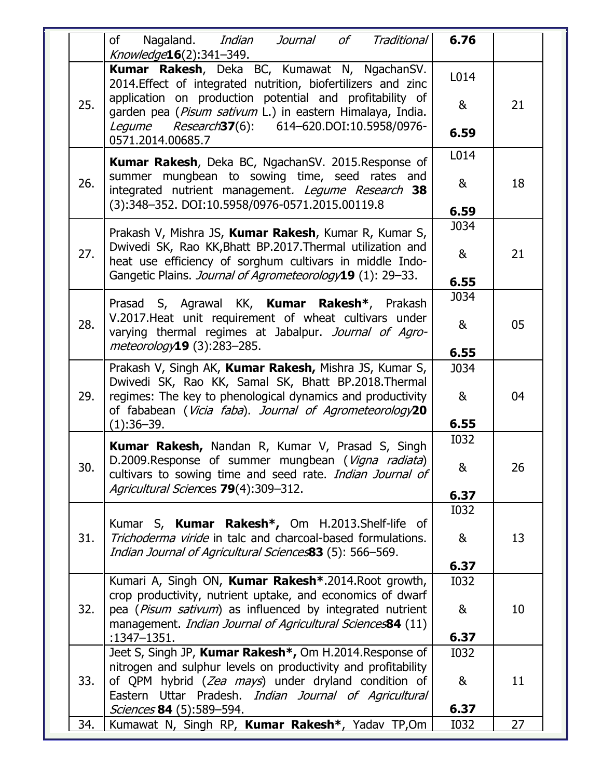|     | of<br>Nagaland. <i>Indian</i><br>Journal<br>of<br>Traditional<br>Knowledge16(2):341-349.                                                                                        | 6.76        |    |
|-----|---------------------------------------------------------------------------------------------------------------------------------------------------------------------------------|-------------|----|
| 25. | Kumar Rakesh, Deka BC, Kumawat N, NgachanSV.<br>2014. Effect of integrated nutrition, biofertilizers and zinc<br>application on production potential and profitability of       | L014<br>&   | 21 |
|     | garden pea (Pisum sativum L.) in eastern Himalaya, India.<br>Legume Research37(6): 614-620.DOI:10.5958/0976-<br>0571.2014.00685.7                                               | 6.59        |    |
|     | Kumar Rakesh, Deka BC, NgachanSV. 2015. Response of                                                                                                                             | L014        |    |
| 26. | summer mungbean to sowing time, seed rates and<br>integrated nutrient management. Legume Research 38<br>(3):348-352. DOI:10.5958/0976-0571.2015.00119.8                         | &<br>6.59   | 18 |
|     |                                                                                                                                                                                 | J034        |    |
| 27. | Prakash V, Mishra JS, Kumar Rakesh, Kumar R, Kumar S,<br>Dwivedi SK, Rao KK, Bhatt BP.2017. Thermal utilization and<br>heat use efficiency of sorghum cultivars in middle Indo- | &           | 21 |
|     | Gangetic Plains. Journal of Agrometeorology19 (1): 29-33.                                                                                                                       | 6.55        |    |
|     | Prasad S, Agrawal KK, Kumar Rakesh*, Prakash                                                                                                                                    | J034        |    |
| 28. | V.2017. Heat unit requirement of wheat cultivars under<br>varying thermal regimes at Jabalpur. Journal of Agro-                                                                 | &           | 05 |
|     | meteorology19 (3):283-285.                                                                                                                                                      | 6.55        |    |
| 29. | Prakash V, Singh AK, Kumar Rakesh, Mishra JS, Kumar S,<br>Dwivedi SK, Rao KK, Samal SK, Bhatt BP.2018.Thermal<br>regimes: The key to phenological dynamics and productivity     | J034<br>&   | 04 |
|     | of fababean (Vicia faba). Journal of Agrometeorology20<br>$(1):36-39.$                                                                                                          | 6.55        |    |
|     | Kumar Rakesh, Nandan R, Kumar V, Prasad S, Singh                                                                                                                                | <b>I032</b> |    |
| 30. | D.2009.Response of summer mungbean (Vigna radiata)<br>cultivars to sowing time and seed rate. <i>Indian Journal of</i>                                                          | &           | 26 |
|     | Agricultural Sciences 79(4):309-312.                                                                                                                                            | 6.37        |    |
|     |                                                                                                                                                                                 | <b>I032</b> |    |
| 31. | Kumar S, Kumar Rakesh*, Om H.2013.Shelf-life of<br>Trichoderma viride in talc and charcoal-based formulations.<br>Indian Journal of Agricultural Sciences83 (5): 566-569.       | &           | 13 |
|     |                                                                                                                                                                                 | 6.37        |    |
|     | Kumari A, Singh ON, Kumar Rakesh <sup>*</sup> .2014. Root growth,<br>crop productivity, nutrient uptake, and economics of dwarf                                                 | <b>I032</b> |    |
| 32. | pea (Pisum sativum) as influenced by integrated nutrient<br>management. Indian Journal of Agricultural Sciences84 (11)<br>:1347-1351.                                           | &<br>6.37   | 10 |
|     | Jeet S, Singh JP, Kumar Rakesh*, Om H.2014. Response of                                                                                                                         | <b>I032</b> |    |
|     | nitrogen and sulphur levels on productivity and profitability                                                                                                                   |             |    |
| 33. | of QPM hybrid (Zea mays) under dryland condition of                                                                                                                             | &           | 11 |
|     | Eastern Uttar Pradesh. Indian Journal of Agricultural<br><i>Sciences</i> 84 (5):589–594.                                                                                        | 6.37        |    |
| 34. | Kumawat N, Singh RP, Kumar Rakesh*, Yadav TP,Om                                                                                                                                 | <b>I032</b> | 27 |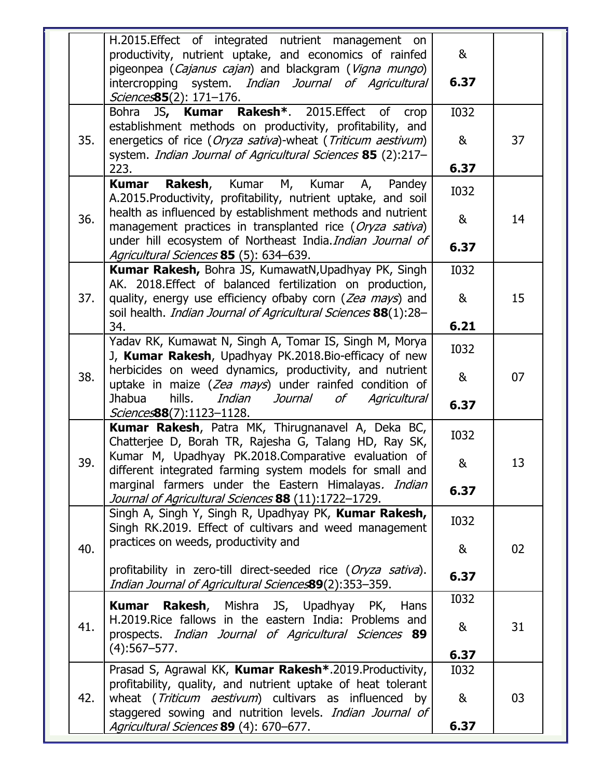|     | H.2015. Effect of integrated nutrient management on<br>productivity, nutrient uptake, and economics of rainfed                                                                               | &                |    |
|-----|----------------------------------------------------------------------------------------------------------------------------------------------------------------------------------------------|------------------|----|
|     | pigeonpea (Cajanus cajan) and blackgram (Vigna mungo)<br>intercropping system. Indian Journal of Agricultural<br><i>Sciences</i> 85(2): 171-176.                                             | 6.37             |    |
| 35. | JS, Kumar Rakesh <sup>*</sup> . 2015. Effect of<br>Bohra<br>crop<br>establishment methods on productivity, profitability, and<br>energetics of rice (Oryza sativa)-wheat (Triticum aestivum) | <b>I032</b><br>& | 37 |
|     | system. Indian Journal of Agricultural Sciences 85 (2):217-<br>223.                                                                                                                          | 6.37             |    |
|     | Rakesh,<br>Kumar<br><b>Kumar</b><br>М,<br>Kumar<br>Pandey<br>А,<br>A.2015. Productivity, profitability, nutrient uptake, and soil                                                            | <b>I032</b>      |    |
| 36. | health as influenced by establishment methods and nutrient<br>management practices in transplanted rice (Oryza sativa)<br>under hill ecosystem of Northeast India. Indian Journal of         | &<br>6.37        | 14 |
|     | Agricultural Sciences 85 (5): 634–639.                                                                                                                                                       |                  |    |
|     | Kumar Rakesh, Bohra JS, KumawatN, Upadhyay PK, Singh<br>AK. 2018. Effect of balanced fertilization on production,                                                                            | <b>I032</b>      |    |
| 37. | quality, energy use efficiency ofbaby corn (Zea mays) and<br>soil health. <i>Indian Journal of Agricultural Sciences</i> 88(1):28-                                                           | &                | 15 |
|     | 34.                                                                                                                                                                                          | 6.21             |    |
|     | Yadav RK, Kumawat N, Singh A, Tomar IS, Singh M, Morya<br>J, Kumar Rakesh, Upadhyay PK.2018.Bio-efficacy of new                                                                              | <b>I032</b>      |    |
| 38. | herbicides on weed dynamics, productivity, and nutrient<br>uptake in maize (Zea mays) under rainfed condition of<br><b>Jhabua</b><br>hills.<br>Indian<br>Journal<br>of<br>Agricultural       | &                | 07 |
|     | <i>Sciences</i> 88(7):1123-1128.                                                                                                                                                             | 6.37             |    |
|     | Kumar Rakesh, Patra MK, Thirugnanavel A, Deka BC,<br>Chatterjee D, Borah TR, Rajesha G, Talang HD, Ray SK,                                                                                   | <b>I032</b>      |    |
| 39. | Kumar M, Upadhyay PK.2018.Comparative evaluation of<br>different integrated farming system models for small and<br>marginal farmers under the Eastern Himalayas. Indian                      | &                | 13 |
|     | Journal of Agricultural Sciences 88 (11):1722-1729.                                                                                                                                          | 6.37             |    |
|     | Singh A, Singh Y, Singh R, Upadhyay PK, Kumar Rakesh,<br>Singh RK.2019. Effect of cultivars and weed management                                                                              | <b>I032</b>      |    |
| 40. | practices on weeds, productivity and                                                                                                                                                         | &                | 02 |
|     | profitability in zero-till direct-seeded rice (Oryza sativa).<br>Indian Journal of Agricultural Sciences89(2):353-359.                                                                       | 6.37             |    |
|     | <b>Rakesh</b> , Mishra JS, Upadhyay PK, Hans<br>Kumar                                                                                                                                        | <b>I032</b>      |    |
| 41. | H.2019. Rice fallows in the eastern India: Problems and<br>prospects. <i>Indian Journal of Agricultural Sciences</i> 89                                                                      | &                | 31 |
|     | $(4):567 - 577.$                                                                                                                                                                             | 6.37             |    |
|     | Prasad S, Agrawal KK, Kumar Rakesh*.2019.Productivity,<br>profitability, quality, and nutrient uptake of heat tolerant                                                                       | <b>I032</b>      |    |
| 42. | wheat (Triticum aestivum) cultivars as influenced by<br>staggered sowing and nutrition levels. Indian Journal of<br>Agricultural Sciences 89 (4): 670-677.                                   | &<br>6.37        | 03 |
|     |                                                                                                                                                                                              |                  |    |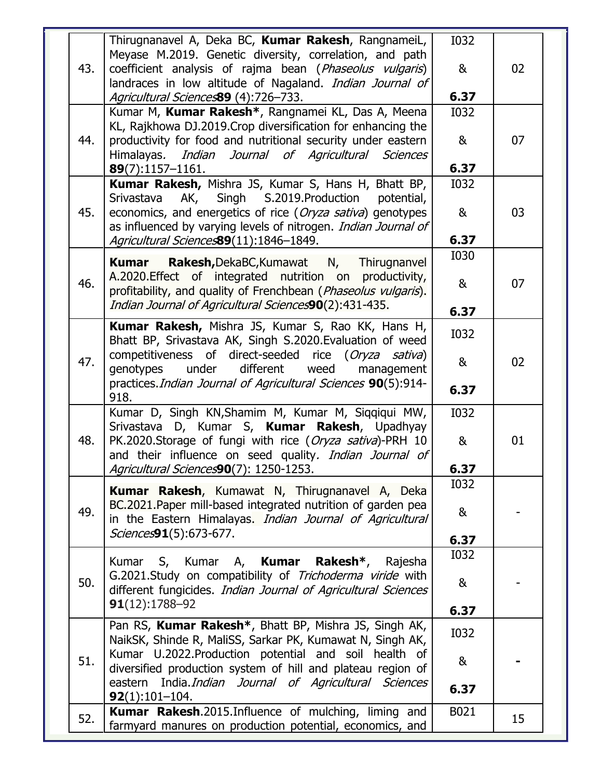|     | Thirugnanavel A, Deka BC, Kumar Rakesh, RangnameiL,                                                                     | <b>I032</b>  |    |
|-----|-------------------------------------------------------------------------------------------------------------------------|--------------|----|
| 43. | Meyase M.2019. Genetic diversity, correlation, and path<br>coefficient analysis of rajma bean (Phaseolus vulgaris)      | &            | 02 |
|     | landraces in low altitude of Nagaland. Indian Journal of                                                                |              |    |
|     | Agricultural Sciences89 (4):726-733.                                                                                    | 6.37         |    |
|     | Kumar M, Kumar Rakesh*, Rangnamei KL, Das A, Meena<br>KL, Rajkhowa DJ.2019. Crop diversification for enhancing the      | <b>I032</b>  |    |
| 44. | productivity for food and nutritional security under eastern                                                            | &            | 07 |
|     | Indian Journal of Agricultural Sciences<br>Himalayas.                                                                   |              |    |
|     | 89(7):1157-1161.                                                                                                        | 6.37         |    |
|     | Kumar Rakesh, Mishra JS, Kumar S, Hans H, Bhatt BP,<br>AK, Singh S.2019.Production<br>Srivastava<br>potential,          | <b>I032</b>  |    |
| 45. | economics, and energetics of rice (Oryza sativa) genotypes                                                              | &            | 03 |
|     | as influenced by varying levels of nitrogen. Indian Journal of                                                          |              |    |
|     | Agricultural Sciences89(11):1846-1849.                                                                                  | 6.37         |    |
|     | <b>Rakesh, DekaBC, Kumawat N,</b><br>Thirugnanvel<br>Kumar                                                              | <b>I030</b>  |    |
| 46. | A.2020. Effect of integrated nutrition on productivity,                                                                 | &            | 07 |
|     | profitability, and quality of Frenchbean (Phaseolus vulgaris).<br>Indian Journal of Agricultural Sciences90(2):431-435. |              |    |
|     |                                                                                                                         | 6.37         |    |
|     | Kumar Rakesh, Mishra JS, Kumar S, Rao KK, Hans H,<br>Bhatt BP, Srivastava AK, Singh S.2020. Evaluation of weed          | <b>I032</b>  |    |
| 47. | competitiveness of direct-seeded rice (Oryza sativa)                                                                    |              |    |
|     | under<br>different<br>weed<br>genotypes<br>management                                                                   | &            | 02 |
|     | practices. Indian Journal of Agricultural Sciences 90(5):914-<br>918.                                                   | 6.37         |    |
|     | Kumar D, Singh KN, Shamim M, Kumar M, Siqqiqui MW,                                                                      | <b>I032</b>  |    |
|     | Srivastava D, Kumar S, Kumar Rakesh, Upadhyay                                                                           |              |    |
| 48. | PK.2020.Storage of fungi with rice (Oryza sativa)-PRH 10                                                                | &            | 01 |
|     | and their influence on seed quality. Indian Journal of<br>Agricultural Sciences90(7): 1250-1253.                        | 6.37         |    |
|     |                                                                                                                         | <b>I032</b>  |    |
|     | <b>Kumar Rakesh</b> , Kumawat N, Thirugnanavel A, Deka<br>BC.2021. Paper mill-based integrated nutrition of garden pea  |              |    |
| 49. | in the Eastern Himalayas. Indian Journal of Agricultural                                                                | &            |    |
|     | Sciences91(5):673-677.                                                                                                  | 6.37         |    |
|     | Kumar S, Kumar A, Kumar Rakesh*, Rajesha                                                                                | <b>I032</b>  |    |
| 50. | G.2021.Study on compatibility of Trichoderma viride with                                                                |              |    |
|     | different fungicides. Indian Journal of Agricultural Sciences                                                           | &            |    |
|     | $91(12):1788-92$                                                                                                        | 6.37         |    |
|     | Pan RS, Kumar Rakesh*, Bhatt BP, Mishra JS, Singh AK,                                                                   | <b>I032</b>  |    |
|     | NaikSK, Shinde R, MaliSS, Sarkar PK, Kumawat N, Singh AK,                                                               |              |    |
|     |                                                                                                                         |              |    |
| 51. | Kumar U.2022. Production potential and soil health of                                                                   | &            |    |
|     | diversified production system of hill and plateau region of<br>eastern India. Indian Journal of Agricultural Sciences   |              |    |
|     | $92(1):101-104.$<br><b>Kumar Rakesh.</b> 2015.Influence of mulching, liming and                                         | 6.37<br>B021 |    |